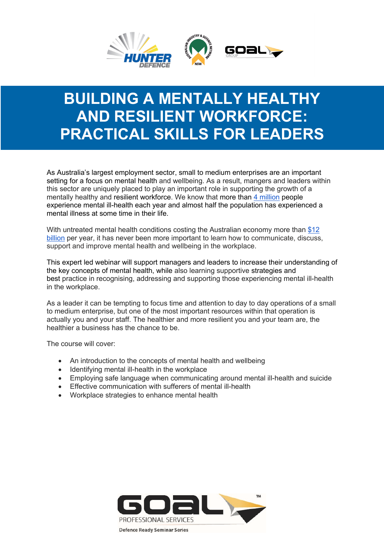

# **BUILDING A MENTALLY HEALTHY AND RESILIENT WORKFORCE: PRACTICAL SKILLS FOR LEADERS**

As Australia's largest employment sector, small to medium enterprises are an important setting for a focus on mental health and wellbeing. As a result, mangers and leaders within this sector are uniquely placed to play an important role in supporting the growth of a mentally healthy and resilient workforce. We know that more than 4 million people experience mental ill-health each year and almost half the population has experienced a mental illness at some time in their life.

With untreated mental health conditions costing the Australian economy more than \$12 billion per year, it has never been more important to learn how to communicate, discuss, support and improve mental health and wellbeing in the workplace.

This expert led webinar will support managers and leaders to increase their understanding of the key concepts of mental health, while also learning supportive strategies and best practice in recognising, addressing and supporting those experiencing mental ill-health in the workplace.

As a leader it can be tempting to focus time and attention to day to day operations of a small to medium enterprise, but one of the most important resources within that operation is actually you and your staff. The healthier and more resilient you and your team are, the healthier a business has the chance to be.

The course will cover:

- An introduction to the concepts of mental health and wellbeing
- Identifying mental ill-health in the workplace
- Employing safe language when communicating around mental ill-health and suicide
- Effective communication with sufferers of mental ill-health
- Workplace strategies to enhance mental health

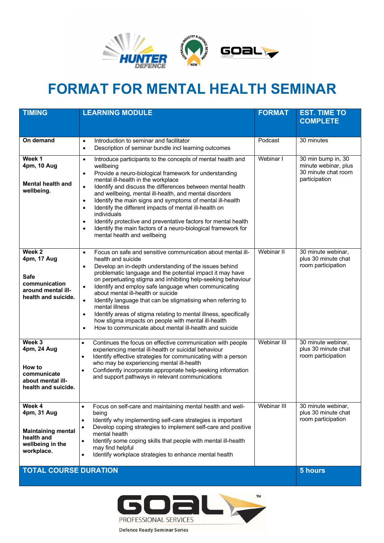

## **FORMAT FOR MENTAL HEALTH SEMINAR**

| <b>TIMING</b>                                                                                      | <b>LEARNING MODULE</b>                                                                                                                                                                                                                                                                                                                                                                                                                                                                                                                                                                                                                                                                                                       | <b>FORMAT</b> | <b>EST. TIME TO</b><br><b>COMPLETE</b>                                             |
|----------------------------------------------------------------------------------------------------|------------------------------------------------------------------------------------------------------------------------------------------------------------------------------------------------------------------------------------------------------------------------------------------------------------------------------------------------------------------------------------------------------------------------------------------------------------------------------------------------------------------------------------------------------------------------------------------------------------------------------------------------------------------------------------------------------------------------------|---------------|------------------------------------------------------------------------------------|
|                                                                                                    |                                                                                                                                                                                                                                                                                                                                                                                                                                                                                                                                                                                                                                                                                                                              |               |                                                                                    |
| On demand                                                                                          | Introduction to seminar and facilitator<br>$\bullet$<br>Description of seminar bundle incl learning outcomes<br>$\bullet$                                                                                                                                                                                                                                                                                                                                                                                                                                                                                                                                                                                                    | Podcast       | 30 minutes                                                                         |
| Week 1<br>4pm, 10 Aug<br>Mental health and<br>wellbeing.                                           | Introduce participants to the concepts of mental health and<br>$\bullet$<br>wellbeing<br>Provide a neuro-biological framework for understanding<br>$\bullet$<br>mental ill-health in the workplace<br>Identify and discuss the differences between mental health<br>$\bullet$<br>and wellbeing, mental ill-health, and mental disorders<br>Identify the main signs and symptoms of mental ill-health<br>$\bullet$<br>Identify the different impacts of mental ill-health on<br>$\bullet$<br>individuals<br>Identify protective and preventative factors for mental health<br>$\bullet$<br>Identify the main factors of a neuro-biological framework for<br>$\bullet$<br>mental health and wellbeing                          | Webinar I     | 30 min bump in, 30<br>minute webinar, plus<br>30 minute chat room<br>participation |
| Week 2<br>4pm, 17 Aug<br><b>Safe</b><br>communication<br>around mental ill-<br>health and suicide. | Focus on safe and sensitive communication about mental ill-<br>$\bullet$<br>health and suicide<br>Develop an in-depth understanding of the issues behind<br>$\bullet$<br>problematic language and the potential impact it may have<br>on perpetuating stigma and inhibiting help-seeking behaviour<br>Identify and employ safe language when communicating<br>$\bullet$<br>about mental ill-health or suicide<br>Identify language that can be stigmatising when referring to<br>$\bullet$<br>mental illness<br>Identify areas of stigma relating to mental illness, specifically<br>$\bullet$<br>how stigma impacts on people with mental ill-health<br>How to communicate about mental ill-health and suicide<br>$\bullet$ | Webinar II    | 30 minute webinar,<br>plus 30 minute chat<br>room participation                    |
| Week 3<br>4pm, 24 Aug<br>How to<br>communicate<br>about mental ill-<br>health and suicide.         | Continues the focus on effective communication with people<br>$\bullet$<br>experiencing mental ill-health or suicidal behaviour<br>Identify effective strategies for communicating with a person<br>$\bullet$<br>who may be experiencing mental ill-health<br>Confidently incorporate appropriate help-seeking information<br>$\bullet$<br>and support pathways in relevant communications                                                                                                                                                                                                                                                                                                                                   | Webinar III   | 30 minute webinar,<br>plus 30 minute chat<br>room participation                    |
| Week 4<br>4pm, 31 Aug<br><b>Maintaining mental</b><br>health and<br>wellbeing in the<br>workplace. | Focus on self-care and maintaining mental health and well-<br>$\bullet$<br>being<br>Identify why implementing self-care strategies is important<br>$\bullet$<br>Develop coping strategies to implement self-care and positive<br>$\bullet$<br>mental health<br>Identify some coping skills that people with mental ill-health<br>$\bullet$<br>may find helpful<br>Identify workplace strategies to enhance mental health<br>$\bullet$                                                                                                                                                                                                                                                                                        | Webinar III   | 30 minute webinar,<br>plus 30 minute chat<br>room participation                    |
| <b>TOTAL COURSE DURATION</b>                                                                       |                                                                                                                                                                                                                                                                                                                                                                                                                                                                                                                                                                                                                                                                                                                              |               | 5 hours                                                                            |



**Defence Ready Seminar Series**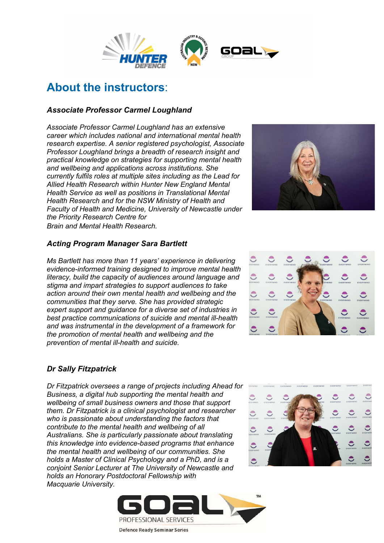

### **About the instructors**:

#### *Associate Professor Carmel Loughland*

*Associate Professor Carmel Loughland has an extensive career which includes national and international mental health research expertise. A senior registered psychologist, Associate Professor Loughland brings a breadth of research insight and practical knowledge on strategies for supporting mental health and wellbeing and applications across institutions. She currently fulfils roles at multiple sites including as the Lead for Allied Health Research within Hunter New England Mental Health Service as well as positions in Translational Mental Health Research and for the NSW Ministry of Health and Faculty of Health and Medicine, University of Newcastle under the Priority Research Centre for Brain and Mental Health Research.*



*Ms Bartlett has more than 11 years' experience in delivering evidence-informed training designed to improve mental health literacy, build the capacity of audiences around language and stigma and impart strategies to support audiences to take action around their own mental health and wellbeing and the communities that they serve. She has provided strategic expert support and guidance for a diverse set of industries in best practice communications of suicide and mental ill-health and was instrumental in the development of a framework for the promotion of mental health and wellbeing and the prevention of mental ill-health and suicide.*

#### *Dr Sally Fitzpatrick*

*Dr Fitzpatrick oversees a range of projects including Ahead for Business, a digital hub supporting the mental health and wellbeing of small business owners and those that support them. Dr Fitzpatrick is a clinical psychologist and researcher who is passionate about understanding the factors that contribute to the mental health and wellbeing of all Australians. She is particularly passionate about translating this knowledge into evidence-based programs that enhance the mental health and wellbeing of our communities. She holds a Master of Clinical Psychology and a PhD, and is a conjoint Senior Lecturer at The University of Newcastle and holds an Honorary Postdoctoral Fellowship with Macquarie University.*